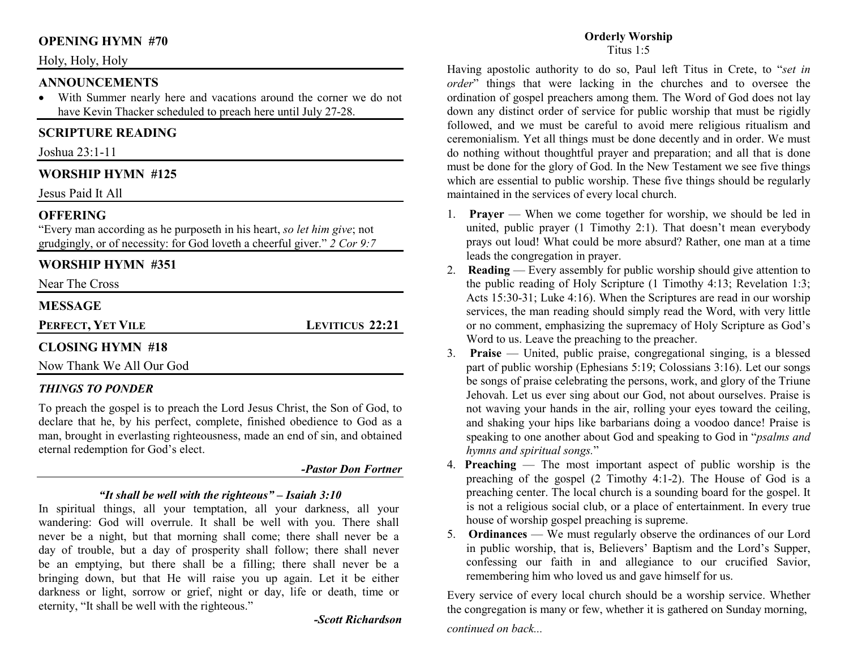# **OPENING HYMN #70**

## Holy, Holy, Holy

## **ANNOUNCEMENTS**

 With Summer nearly here and vacations around the corner we do not •have Kevin Thacker scheduled to preach here until July 27-28.

# **SCRIPTURE READING**

Joshua 23:1-11

# **WORSHIP HYMN #125**

Jesus Paid It All

## **OFFERING**

 "Every man according as he purposeth in his heart, *so let him give*; not grudgingly, or of necessity: for God loveth a cheerful giver." *2 Cor 9:7*

# **WORSHIP HYMN #351**

Near The Cross

## **MESSAGE**

**PERFECT, YET VILE**

**LEVITICUS 22:21** 

# **CLOSING HYMN #18**

Now Thank We All Our God

## *THINGS TO PONDER*

To preach the gospel is to preach the Lord Jesus Christ, the Son of God, to declare that he, by his perfect, complete, finished obedience to God as a man, brought in everlasting righteousness, made an end of sin, and obtained eternal redemption for God's elect.

#### *-Pastor Don Fortner*

## *"It shall be well with the righteous" – Isaiah 3:10*

 In spiritual things, all your temptation, all your darkness, all your wandering: God will overrule. It shall be well with you. There shall never be a night, but that morning shall come; there shall never be a day of trouble, but a day of prosperity shall follow; there shall never be an emptying, but there shall be a filling; there shall never be a bringing down, but that He will raise you up again. Let it be either darkness or light, sorrow or grief, night or day, life or death, time or eternity, "It shall be well with the righteous."

# *-Scott Richardson*

#### **Orderly Worship**Titus 1:5

Having apostolic authority to do so, Paul left Titus in Crete, to "*set in order*" things that were lacking in the churches and to oversee the ordination of gospel preachers among them. The Word of God does not lay down any distinct order of service for public worship that must be rigidly followed, and we must be careful to avoid mere religious ritualism and ceremonialism. Yet all things must be done decently and in order. We must do nothing without thoughtful prayer and preparation; and all that is done must be done for the glory of God. In the New Testament we see five things which are essential to public worship. These five things should be regularly maintained in the services of every local church.

- 1. **Prayer** When we come together for worship, we should be led in united, public prayer (1 Timothy 2:1). That doesn't mean everybody prays out loud! What could be more absurd? Rather, one man at a time leads the congregation in prayer.
- 2. **Reading** Every assembly for public worship should give attention to the public reading of Holy Scripture (1 Timothy 4:13; Revelation 1:3; Acts 15:30-31; Luke 4:16). When the Scriptures are read in our worship services, the man reading should simply read the Word, with very little or no comment, emphasizing the supremacy of Holy Scripture as God's Word to us. Leave the preaching to the preacher.
- 3. **Praise** United, public praise, congregational singing, is a blessed part of public worship (Ephesians 5:19; Colossians 3:16). Let our songs be songs of praise celebrating the persons, work, and glory of the Triune Jehovah. Let us ever sing about our God, not about ourselves. Praise is not waving your hands in the air, rolling your eyes toward the ceiling, and shaking your hips like barbarians doing a voodoo dance! Praise is speaking to one another about God and speaking to God in "*psalms and hymns and spiritual songs.*"
- 4. **Preaching** The most important aspect of public worship is the preaching of the gospel (2 Timothy 4:1-2). The House of God is a preaching center. The local church is a sounding board for the gospel. It is not a religious social club, or a place of entertainment. In every true house of worship gospel preaching is supreme.
- 5. **Ordinances**  We must regularly observe the ordinances of our Lord in public worship, that is, Believers' Baptism and the Lord's Supper, confessing our faith in and allegiance to our crucified Savior, remembering him who loved us and gave himself for us.

Every service of every local church should be a worship service. Whether the congregation is many or few, whether it is gathered on Sunday morning,

*continued on back...*